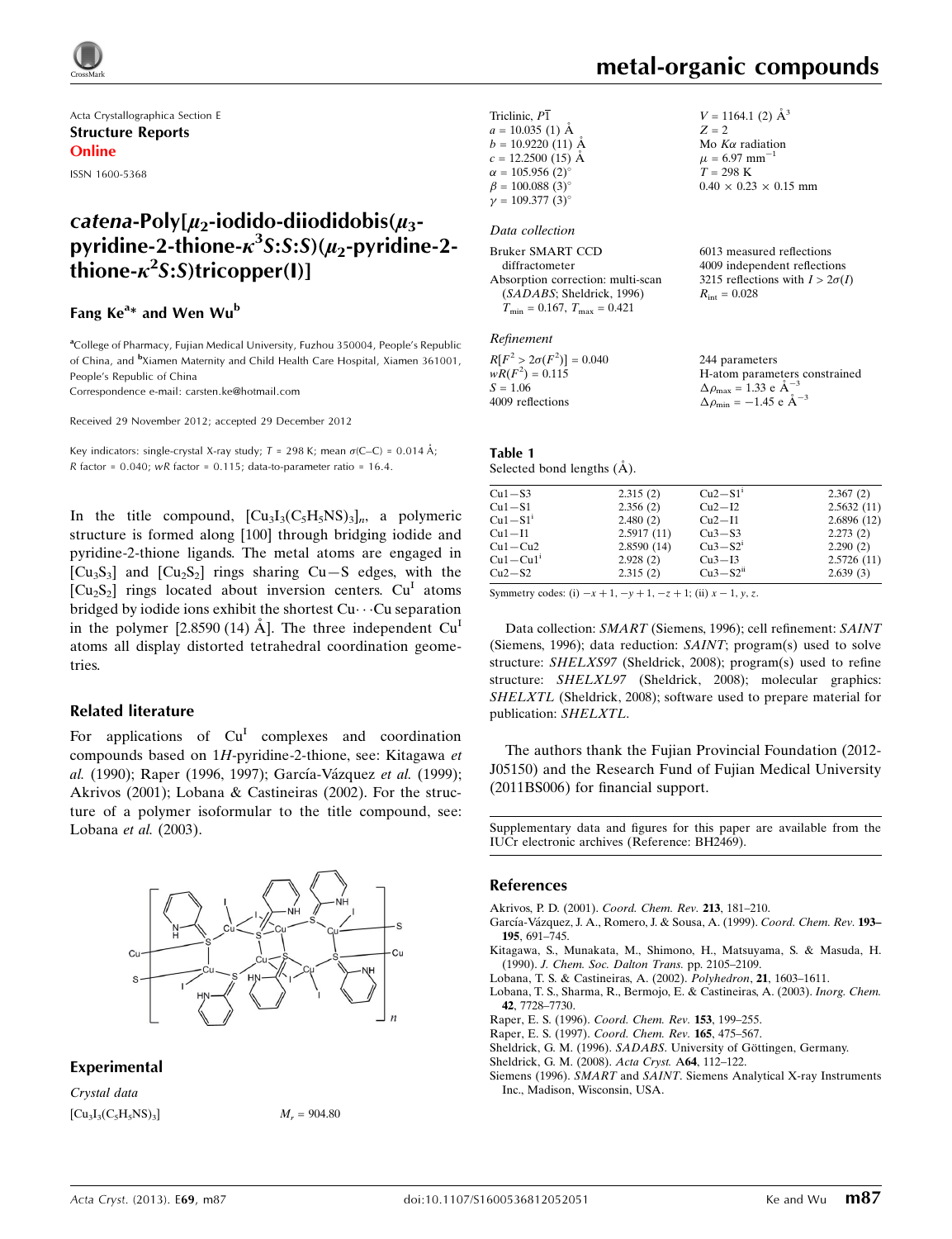

Acta Crystallographica Section E Structure Reports Online

ISSN 1600-5368

## catena-Poly[ $\mu_2$ -iodido-diiodidobis( $\mu_3$ pyridine-2-thione- $\kappa^3$ S:S:S)( $\mu_2$ -pyridine-2- $\dot{t}$ hione- $\kappa^2$ S:S)tricopper(I)]

### Fang Ke<sup>a</sup>\* and Wen Wu<sup>b</sup>

<sup>a</sup>College of Pharmacy, Fujian Medical University, Fuzhou 350004, People's Republic of China, and <sup>b</sup>Xiamen Maternity and Child Health Care Hospital, Xiamen 361001, People's Republic of China

Correspondence e-mail: [carsten.ke@hotmail.com](https://scripts.iucr.org/cgi-bin/cr.cgi?rm=pdfbb&cnor=bh2469&bbid=BB10)

Received 29 November 2012; accepted 29 December 2012

Key indicators: single-crystal X-ray study;  $T = 298$  K; mean  $\sigma$ (C–C) = 0.014 Å; R factor =  $0.040$ ; wR factor =  $0.115$ ; data-to-parameter ratio =  $16.4$ .

In the title compound,  $[Cu<sub>3</sub>I<sub>3</sub>(C<sub>5</sub>H<sub>5</sub>NS)<sub>3</sub>]<sub>n</sub>$ , a polymeric structure is formed along [100] through bridging iodide and pyridine-2-thione ligands. The metal atoms are engaged in  $[Cu_3S_3]$  and  $[Cu_2S_2]$  rings sharing  $Cu-S$  edges, with the  $[Cu_2S_2]$  rings located about inversion centers.  $Cu<sup>T</sup>$  atoms bridged by iodide ions exhibit the shortest Cu---Cu separation in the polymer  $[2.8590 (14) \text{ Å}]$ . The three independent  $Cu<sup>I</sup>$ atoms all display distorted tetrahedral coordination geometries.

#### Related literature

For applications of  $Cu<sup>I</sup>$  complexes and coordination compounds based on 1H-pyridine-2-thione, see: Kitagawa et al. (1990); Raper (1996, 1997); García-Vázquez et al. (1999); Akrivos (2001); Lobana & Castineiras (2002). For the structure of a polymer isoformular to the title compound, see: Lobana et al. (2003).



#### Experimental

Crystal data  $[Cu_3I_3(C_5H_5NS)_3]$   $M_r = 904.80$ 

 $V = 1164.1$  (2)  $\AA^3$ 

Mo  $K\alpha$  radiation  $\mu = 6.97$  mm<sup>-1</sup>  $T = 298$  K

 $0.40 \times 0.23 \times 0.15$  mm

 $Z = 2$ 

| Triclinic, P1                 |
|-------------------------------|
| $a = 10.035$ (1) Å            |
| $b = 10.9220$ (11) Å          |
| $c = 12.2500$ (15) Å          |
| $\alpha = 105.956(2)^{\circ}$ |
| $\beta = 100.088(3)$ °        |
| $\nu = 109.377(3)$ °          |

#### Data collection

| Bruker SMART CCD                              | 6013 measured reflections              |
|-----------------------------------------------|----------------------------------------|
| diffractometer                                | 4009 independent reflections           |
| Absorption correction: multi-scan             | 3215 reflections with $I > 2\sigma(I)$ |
| (SADABS; Sheldrick, 1996)                     | $R_{\rm int} = 0.028$                  |
| $T_{\rm min} = 0.167$ , $T_{\rm max} = 0.421$ |                                        |
|                                               |                                        |

#### Refinement

| $R[F^2 > 2\sigma(F^2)] = 0.040$ | 244 parameters                                     |
|---------------------------------|----------------------------------------------------|
| $wR(F^2) = 0.115$               | H-atom parameters constrained                      |
| $S = 1.06$                      | $\Delta \rho_{\text{max}} = 1.33 \text{ e A}^{-3}$ |
| 4009 reflections                | $\Delta \rho_{\rm min} = -1.45$ e $\rm \AA^{-3}$   |

#### Table 1 Selected bond lengths (Å).

| $Cu1-S3$     | 2.315(2)   | $Cu2-S1$ <sup>1</sup> | 2.367(2)   |
|--------------|------------|-----------------------|------------|
| $Cu1-S1$     | 2.356(2)   | $Cu2-I2$              | 2.5632(11) |
| $Cu1-S1'$    | 2.480(2)   | $Cu2-I1$              | 2.6896(12) |
| $Cu1-I1$     | 2.5917(11) | $Cu3-S3$              | 2.273(2)   |
| $Cu1-Cu2$    | 2.8590(14) | $Cu3-S2i$             | 2.290(2)   |
| $Cu1 - Cu1'$ | 2.928(2)   | $Cu3-I3$              | 2.5726(11) |
| $Cu2-S2$     | 2.315(2)   | $Cu3-S2ii$            | 2.639(3)   |

Symmetry codes: (i)  $-x + 1$ ,  $-y + 1$ ,  $-z + 1$ ; (ii)  $x - 1$ , y, z.

Data collection: SMART (Siemens, 1996); cell refinement: SAINT (Siemens, 1996); data reduction: SAINT; program(s) used to solve structure: SHELXS97 (Sheldrick, 2008); program(s) used to refine structure: SHELXL97 (Sheldrick, 2008); molecular graphics: SHELXTL (Sheldrick, 2008); software used to prepare material for publication: SHELXTL.

The authors thank the Fujian Provincial Foundation (2012- J05150) and the Research Fund of Fujian Medical University (2011BS006) for financial support.

Supplementary data and figures for this paper are available from the IUCr electronic archives (Reference: BH2469).

#### References

- [Akrivos, P. D. \(2001\).](https://scripts.iucr.org/cgi-bin/cr.cgi?rm=pdfbb&cnor=bh2469&bbid=BB1) Coord. Chem. Rev. 213, 181–210.
- García-Vázquez, J. A., Romero, J. & Sousa, A. (1999). Coord. Chem. Rev. 193-195[, 691–745.](https://scripts.iucr.org/cgi-bin/cr.cgi?rm=pdfbb&cnor=bh2469&bbid=BB2)
- [Kitagawa, S., Munakata, M., Shimono, H., Matsuyama, S. & Masuda, H.](https://scripts.iucr.org/cgi-bin/cr.cgi?rm=pdfbb&cnor=bh2469&bbid=BB3) (1990). [J. Chem. Soc. Dalton Trans.](https://scripts.iucr.org/cgi-bin/cr.cgi?rm=pdfbb&cnor=bh2469&bbid=BB3) pp. 2105–2109.
- [Lobana, T. S. & Castineiras, A. \(2002\).](https://scripts.iucr.org/cgi-bin/cr.cgi?rm=pdfbb&cnor=bh2469&bbid=BB4) Polyhedron, 21, 1603–1611.
- [Lobana, T. S., Sharma, R., Bermojo, E. & Castineiras, A. \(2003\).](https://scripts.iucr.org/cgi-bin/cr.cgi?rm=pdfbb&cnor=bh2469&bbid=BB5) Inorg. Chem. 42[, 7728–7730.](https://scripts.iucr.org/cgi-bin/cr.cgi?rm=pdfbb&cnor=bh2469&bbid=BB5)
- [Raper, E. S. \(1996\).](https://scripts.iucr.org/cgi-bin/cr.cgi?rm=pdfbb&cnor=bh2469&bbid=BB6) Coord. Chem. Rev. 153, 199–255.
- [Raper, E. S. \(1997\).](https://scripts.iucr.org/cgi-bin/cr.cgi?rm=pdfbb&cnor=bh2469&bbid=BB7) Coord. Chem. Rev. 165, 475–567.
- Sheldrick, G. M. (1996). SADABS. University of Göttingen, Germany.
- [Sheldrick, G. M. \(2008\).](https://scripts.iucr.org/cgi-bin/cr.cgi?rm=pdfbb&cnor=bh2469&bbid=BB9) Acta Cryst. A64, 112–122.
- Siemens (1996). SMART and SAINT[. Siemens Analytical X-ray Instruments](https://scripts.iucr.org/cgi-bin/cr.cgi?rm=pdfbb&cnor=bh2469&bbid=BB10) [Inc., Madison, Wisconsin, USA.](https://scripts.iucr.org/cgi-bin/cr.cgi?rm=pdfbb&cnor=bh2469&bbid=BB10)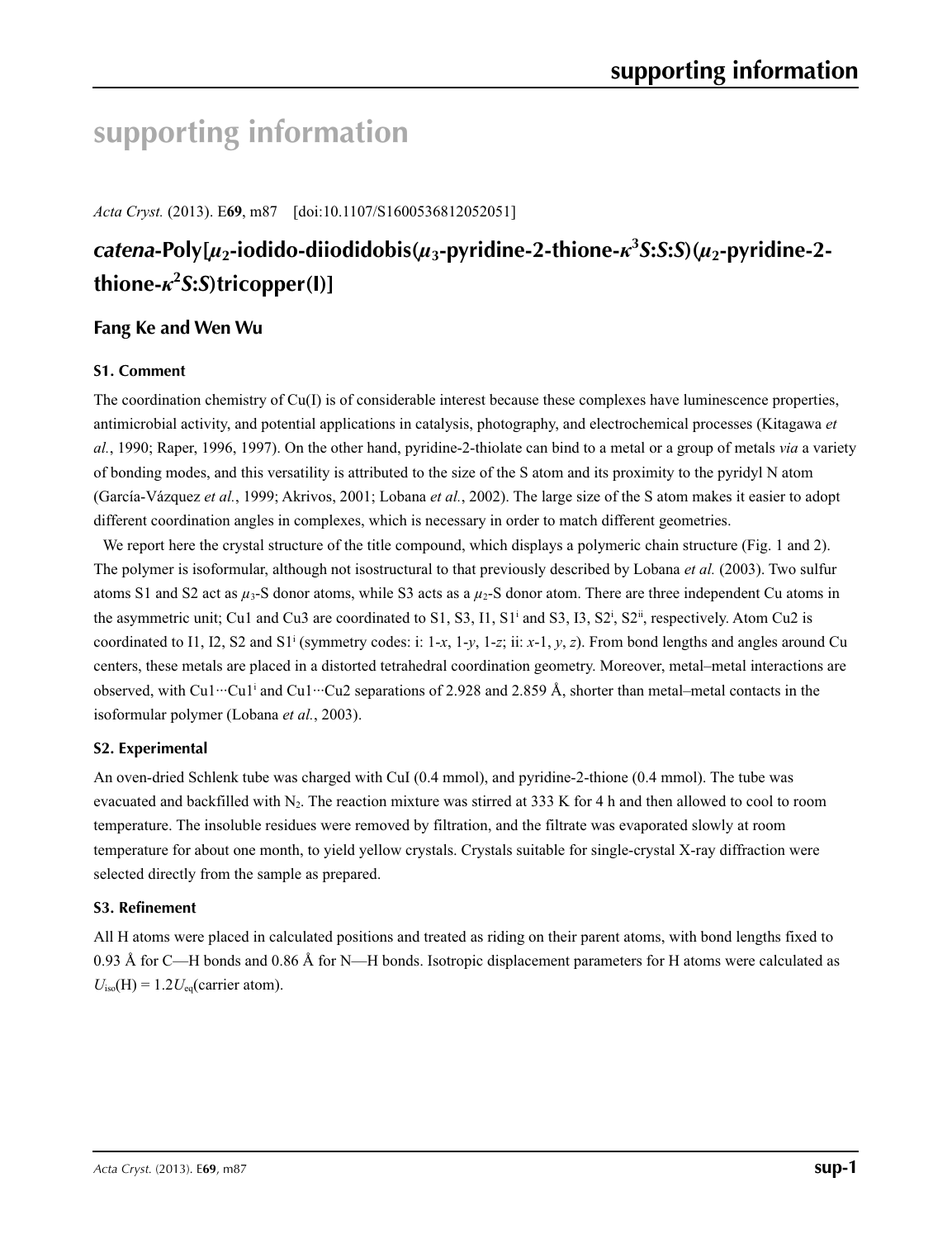# **supporting information**

*Acta Cryst.* (2013). E**69**, m87 [doi:10.1107/S1600536812052051]

## *catena***-Poly[***µ***2-iodido-diiodidobis(***µ***3-pyridine-2-thione-***κ***<sup>3</sup>** *S***:***S***:***S***)(***µ***2-pyridine-2 thione-***κ***<sup>2</sup>** *S***:***S***)tricopper(I)]**

## **Fang Ke and Wen Wu**

### **S1. Comment**

The coordination chemistry of Cu(I) is of considerable interest because these complexes have luminescence properties, antimicrobial activity, and potential applications in catalysis, photography, and electrochemical processes (Kitagawa *et al.*, 1990; Raper, 1996, 1997). On the other hand, pyridine-2-thiolate can bind to a metal or a group of metals *via* a variety of bonding modes, and this versatility is attributed to the size of the S atom and its proximity to the pyridyl N atom (García-Vázquez *et al.*, 1999; Akrivos, 2001; Lobana *et al.*, 2002). The large size of the S atom makes it easier to adopt different coordination angles in complexes, which is necessary in order to match different geometries.

We report here the crystal structure of the title compound, which displays a polymeric chain structure (Fig. 1 and 2). The polymer is isoformular, although not isostructural to that previously described by Lobana *et al.* (2003). Two sulfur atoms S1 and S2 act as  $\mu_3$ -S donor atoms, while S3 acts as a  $\mu_2$ -S donor atom. There are three independent Cu atoms in the asymmetric unit; Cu1 and Cu3 are coordinated to S1, S3, I1, S1<sup>i</sup> and S3, I3, S2<sup>i</sup>, S2<sup>ii</sup>, respectively. Atom Cu2 is coordinated to I1, I2, S2 and S1<sup>i</sup> (symmetry codes: i: 1-*x*, 1-*y*, 1-*z*; ii: *x*-1, *y*, *z*). From bond lengths and angles around Cu centers, these metals are placed in a distorted tetrahedral coordination geometry. Moreover, metal–metal interactions are observed, with Cu1…Cu1<sup>i</sup> and Cu1…Cu2 separations of 2.928 and 2.859 Å, shorter than metal–metal contacts in the isoformular polymer (Lobana *et al.*, 2003).

### **S2. Experimental**

An oven-dried Schlenk tube was charged with CuI (0.4 mmol), and pyridine-2-thione (0.4 mmol). The tube was evacuated and backfilled with  $N_2$ . The reaction mixture was stirred at 333 K for 4 h and then allowed to cool to room temperature. The insoluble residues were removed by filtration, and the filtrate was evaporated slowly at room temperature for about one month, to yield yellow crystals. Crystals suitable for single-crystal X-ray diffraction were selected directly from the sample as prepared.

### **S3. Refinement**

All H atoms were placed in calculated positions and treated as riding on their parent atoms, with bond lengths fixed to 0.93 Å for C—H bonds and 0.86 Å for N—H bonds. Isotropic displacement parameters for H atoms were calculated as  $U_{\text{iso}}(H) = 1.2 U_{\text{eq}}(\text{carrier atom}).$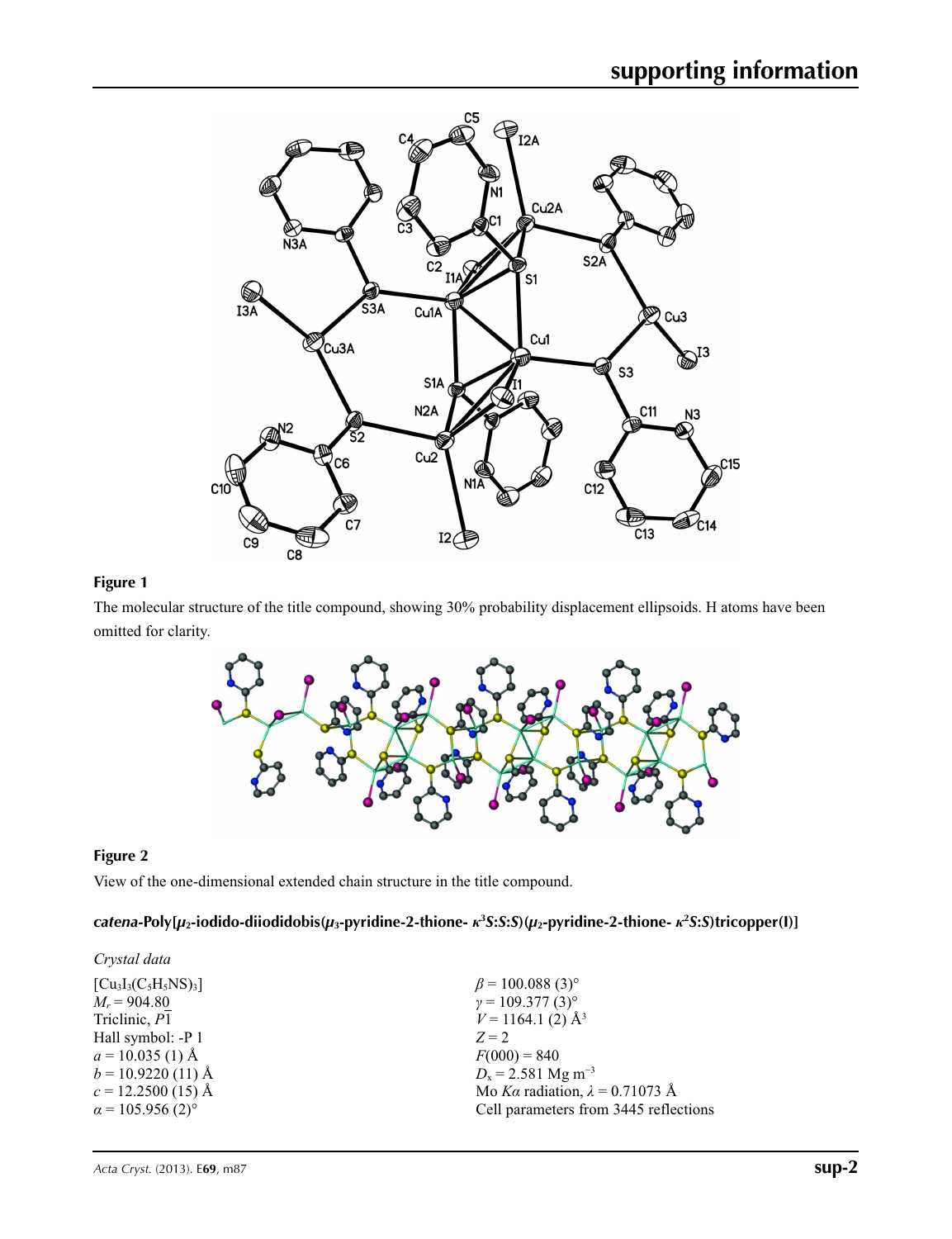

### **Figure 1**

The molecular structure of the title compound, showing 30% probability displacement ellipsoids. H atoms have been omitted for clarity.



### **Figure 2**

View of the one-dimensional extended chain structure in the title compound.

## catena-Poly[ $\mu_2$ -iodido-diiodidobis( $\mu_3$ -pyridine-2-thione-  $\kappa^3$ S:S:S)( $\mu_2$ -pyridine-2-thione-  $\kappa^2$ S:S)tricopper(I)]

| Crystal data                        |                                        |
|-------------------------------------|----------------------------------------|
| $[C_{u_3}I_3(C_5H_5NS)_3]$          | $\beta$ = 100.088 (3) <sup>o</sup>     |
| $M_r = 904.80$                      | $\gamma = 109.377(3)$ °                |
| Triclinic, P1                       | $V = 1164.1$ (2) Å <sup>3</sup>        |
| Hall symbol: -P 1                   | $Z = 2$                                |
| $a = 10.035(1)$ Å                   | $F(000) = 840$                         |
| $b = 10.9220(11)$ Å                 | $D_x = 2.581$ Mg m <sup>-3</sup>       |
| $c = 12.2500$ (15) Å                | Mo Ka radiation, $\lambda = 0.71073$ Å |
| $\alpha$ = 105.956 (2) <sup>o</sup> | Cell parameters from 3445 reflections  |
|                                     |                                        |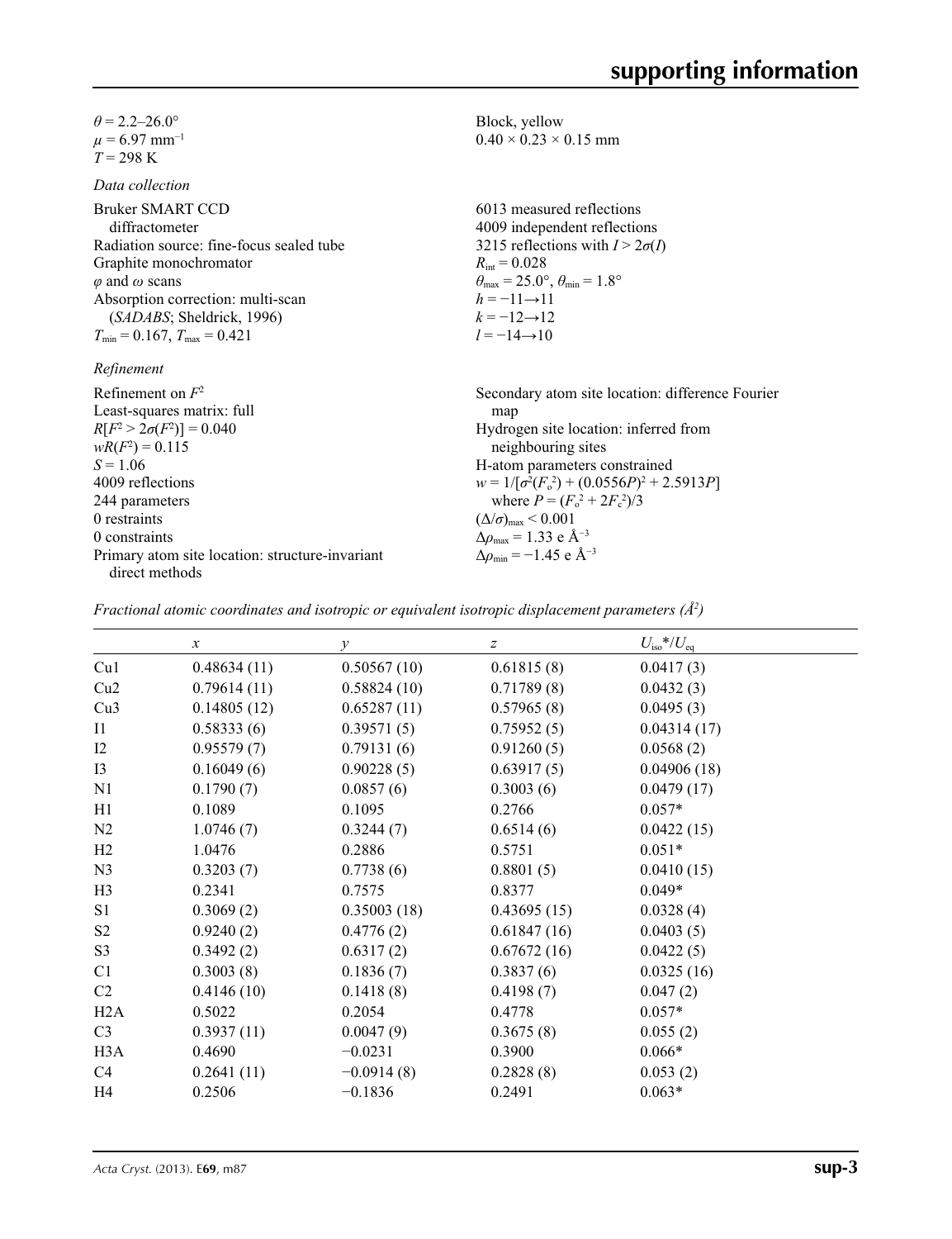$\theta$  = 2.2–26.0°  $\mu$  = 6.97 mm<sup>-1</sup>  $T = 298 \text{ K}$ 

*Data collection*

Bruker SMART CCD diffractometer Radiation source: fine-focus sealed tube Graphite monochromator *φ* and *ω* scans Absorption correction: multi-scan (*SADABS*; Sheldrick, 1996)  $T_{\min} = 0.167$ ,  $T_{\max} = 0.421$ 

*Refinement*

Refinement on *F*<sup>2</sup> Least-squares matrix: full  $R[F^2 > 2\sigma(F^2)] = 0.040$  $wR(F^2) = 0.115$  $S = 1.06$ 4009 reflections 244 parameters 0 restraints 0 constraints Primary atom site location: structure-invariant direct methods Secondary atom site location: difference Fourier map Hydrogen site location: inferred from neighbouring sites H-atom parameters constrained  $w = 1/[\sigma^2 (F_0^2) + (0.0556P)^2 + 2.5913P]$ where  $P = (F_o^2 + 2F_c^2)/3$  $(\Delta/\sigma)_{\text{max}}$  < 0.001 Δ*ρ*max = 1.33 e Å−3  $\Delta\rho_{\text{min}} = -1.45$  e Å<sup>-3</sup>

Block, yellow

 $R_{\text{int}} = 0.028$ 

 $h = -11 \rightarrow 11$  $k = -12 \rightarrow 12$  $l = -14 \rightarrow 10$ 

 $0.40 \times 0.23 \times 0.15$  mm

6013 measured reflections 4009 independent reflections 3215 reflections with  $I > 2\sigma(I)$ 

 $\theta_{\text{max}} = 25.0^{\circ}, \theta_{\text{min}} = 1.8^{\circ}$ 

*Fractional atomic coordinates and isotropic or equivalent isotropic displacement parameters (Å2 )*

|                  | $\boldsymbol{x}$ | $\mathcal{Y}$ | $\boldsymbol{Z}$ | $U_{\rm iso}*/U_{\rm eq}$ |  |
|------------------|------------------|---------------|------------------|---------------------------|--|
| Cu1              | 0.48634(11)      | 0.50567(10)   | 0.61815(8)       | 0.0417(3)                 |  |
| Cu2              | 0.79614(11)      | 0.58824(10)   | 0.71789(8)       | 0.0432(3)                 |  |
| Cu3              | 0.14805(12)      | 0.65287(11)   | 0.57965(8)       | 0.0495(3)                 |  |
| I <sub>1</sub>   | 0.58333(6)       | 0.39571(5)    | 0.75952(5)       | 0.04314(17)               |  |
| 12               | 0.95579(7)       | 0.79131(6)    | 0.91260(5)       | 0.0568(2)                 |  |
| I3               | 0.16049(6)       | 0.90228(5)    | 0.63917(5)       | 0.04906(18)               |  |
| N <sub>1</sub>   | 0.1790(7)        | 0.0857(6)     | 0.3003(6)        | 0.0479(17)                |  |
| H1               | 0.1089           | 0.1095        | 0.2766           | $0.057*$                  |  |
| N2               | 1.0746(7)        | 0.3244(7)     | 0.6514(6)        | 0.0422(15)                |  |
| H2               | 1.0476           | 0.2886        | 0.5751           | $0.051*$                  |  |
| N <sub>3</sub>   | 0.3203(7)        | 0.7738(6)     | 0.8801(5)        | 0.0410(15)                |  |
| H <sub>3</sub>   | 0.2341           | 0.7575        | 0.8377           | $0.049*$                  |  |
| S1               | 0.3069(2)        | 0.35003(18)   | 0.43695(15)      | 0.0328(4)                 |  |
| S <sub>2</sub>   | 0.9240(2)        | 0.4776(2)     | 0.61847(16)      | 0.0403(5)                 |  |
| S <sub>3</sub>   | 0.3492(2)        | 0.6317(2)     | 0.67672(16)      | 0.0422(5)                 |  |
| C <sub>1</sub>   | 0.3003(8)        | 0.1836(7)     | 0.3837(6)        | 0.0325(16)                |  |
| C <sub>2</sub>   | 0.4146(10)       | 0.1418(8)     | 0.4198(7)        | 0.047(2)                  |  |
| H2A              | 0.5022           | 0.2054        | 0.4778           | $0.057*$                  |  |
| C <sub>3</sub>   | 0.3937(11)       | 0.0047(9)     | 0.3675(8)        | 0.055(2)                  |  |
| H <sub>3</sub> A | 0.4690           | $-0.0231$     | 0.3900           | $0.066*$                  |  |
| C4               | 0.2641(11)       | $-0.0914(8)$  | 0.2828(8)        | 0.053(2)                  |  |
| H4               | 0.2506           | $-0.1836$     | 0.2491           | $0.063*$                  |  |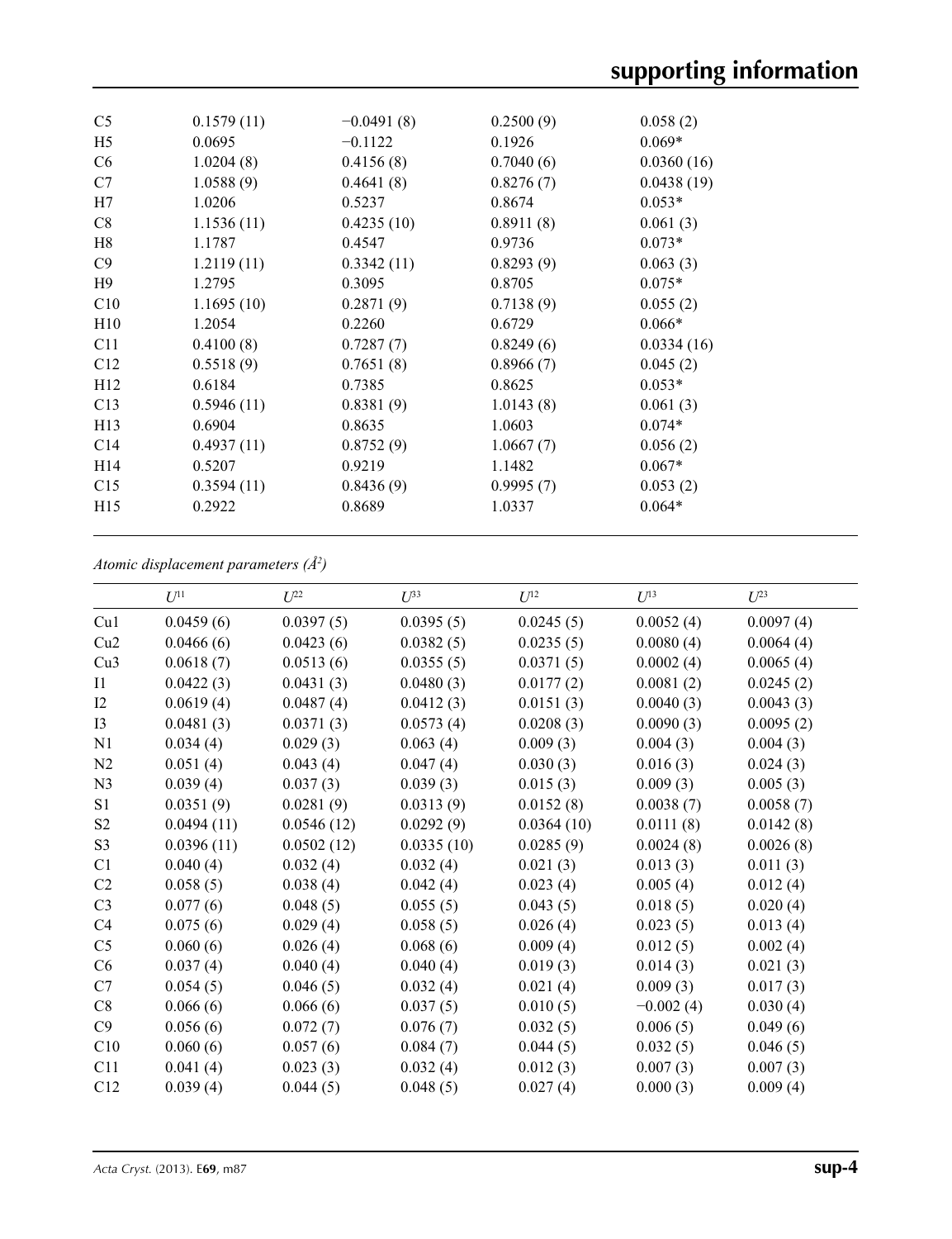| C <sub>5</sub>  | 0.1579(11) | $-0.0491(8)$ | 0.2500(9) | 0.058(2)   |  |
|-----------------|------------|--------------|-----------|------------|--|
| H <sub>5</sub>  | 0.0695     | $-0.1122$    | 0.1926    | $0.069*$   |  |
| C <sub>6</sub>  | 1.0204(8)  | 0.4156(8)    | 0.7040(6) | 0.0360(16) |  |
| C7              | 1.0588(9)  | 0.4641(8)    | 0.8276(7) | 0.0438(19) |  |
| H7              | 1.0206     | 0.5237       | 0.8674    | $0.053*$   |  |
| C8              | 1.1536(11) | 0.4235(10)   | 0.8911(8) | 0.061(3)   |  |
| H8              | 1.1787     | 0.4547       | 0.9736    | $0.073*$   |  |
| C9              | 1.2119(11) | 0.3342(11)   | 0.8293(9) | 0.063(3)   |  |
| H <sub>9</sub>  | 1.2795     | 0.3095       | 0.8705    | $0.075*$   |  |
| C10             | 1.1695(10) | 0.2871(9)    | 0.7138(9) | 0.055(2)   |  |
| H10             | 1.2054     | 0.2260       | 0.6729    | $0.066*$   |  |
| C11             | 0.4100(8)  | 0.7287(7)    | 0.8249(6) | 0.0334(16) |  |
| C12             | 0.5518(9)  | 0.7651(8)    | 0.8966(7) | 0.045(2)   |  |
| H <sub>12</sub> | 0.6184     | 0.7385       | 0.8625    | $0.053*$   |  |
| C13             | 0.5946(11) | 0.8381(9)    | 1.0143(8) | 0.061(3)   |  |
| H13             | 0.6904     | 0.8635       | 1.0603    | $0.074*$   |  |
| C14             | 0.4937(11) | 0.8752(9)    | 1.0667(7) | 0.056(2)   |  |
| H14             | 0.5207     | 0.9219       | 1.1482    | $0.067*$   |  |
| C15             | 0.3594(11) | 0.8436(9)    | 0.9995(7) | 0.053(2)   |  |
| H15             | 0.2922     | 0.8689       | 1.0337    | $0.064*$   |  |
|                 |            |              |           |            |  |

## *Atomic displacement parameters (Å2 )*

| 0.0395(5)<br>Cu1<br>0.0459(6)<br>0.0397(5)<br>0.0245(5)<br>0.0052(4)<br>Cu2<br>0.0466(6)<br>0.0423(6)<br>0.0382(5)<br>0.0235(5)<br>0.0080(4)<br>Cu3<br>0.0618(7)<br>0.0513(6)<br>0.0355(5)<br>0.0371(5)<br>0.0002(4)<br>0.0422(3)<br>0.0431(3)<br>0.0480(3)<br>0.0177(2)<br>0.0081(2)<br>$\mathbf{I}$<br>I2<br>0.0619(4)<br>0.0412(3)<br>0.0151(3)<br>0.0040(3)<br>0.0487(4)<br>I3<br>0.0481(3)<br>0.0371(3)<br>0.0573(4)<br>0.0208(3)<br>0.0090(3)<br>0.029(3)<br>0.063(4)<br>0.009(3)<br>0.004(3)<br>N1<br>0.034(4)<br>0.030(3)<br>N2<br>0.051(4)<br>0.043(4)<br>0.047(4)<br>0.016(3)<br>0.039(4)<br>0.037(3)<br>0.039(3)<br>0.015(3)<br>0.009(3)<br>N <sub>3</sub><br>S1<br>0.0351(9)<br>0.0281(9)<br>0.0313(9)<br>0.0152(8)<br>0.0038(7)<br>0.0494(11)<br>0.0292(9)<br>0.0111(8)<br>S <sub>2</sub><br>0.0546(12)<br>0.0364(10)<br>S <sub>3</sub><br>0.0396(11)<br>0.0502(12)<br>0.0335(10)<br>0.0285(9)<br>0.0024(8)<br>0.040(4)<br>0.032(4)<br>0.032(4)<br>0.021(3)<br>0.013(3)<br>C1 | $U^{23}$  |
|--------------------------------------------------------------------------------------------------------------------------------------------------------------------------------------------------------------------------------------------------------------------------------------------------------------------------------------------------------------------------------------------------------------------------------------------------------------------------------------------------------------------------------------------------------------------------------------------------------------------------------------------------------------------------------------------------------------------------------------------------------------------------------------------------------------------------------------------------------------------------------------------------------------------------------------------------------------------------------------------|-----------|
|                                                                                                                                                                                                                                                                                                                                                                                                                                                                                                                                                                                                                                                                                                                                                                                                                                                                                                                                                                                            | 0.0097(4) |
|                                                                                                                                                                                                                                                                                                                                                                                                                                                                                                                                                                                                                                                                                                                                                                                                                                                                                                                                                                                            | 0.0064(4) |
|                                                                                                                                                                                                                                                                                                                                                                                                                                                                                                                                                                                                                                                                                                                                                                                                                                                                                                                                                                                            | 0.0065(4) |
|                                                                                                                                                                                                                                                                                                                                                                                                                                                                                                                                                                                                                                                                                                                                                                                                                                                                                                                                                                                            | 0.0245(2) |
|                                                                                                                                                                                                                                                                                                                                                                                                                                                                                                                                                                                                                                                                                                                                                                                                                                                                                                                                                                                            | 0.0043(3) |
|                                                                                                                                                                                                                                                                                                                                                                                                                                                                                                                                                                                                                                                                                                                                                                                                                                                                                                                                                                                            | 0.0095(2) |
|                                                                                                                                                                                                                                                                                                                                                                                                                                                                                                                                                                                                                                                                                                                                                                                                                                                                                                                                                                                            | 0.004(3)  |
|                                                                                                                                                                                                                                                                                                                                                                                                                                                                                                                                                                                                                                                                                                                                                                                                                                                                                                                                                                                            | 0.024(3)  |
|                                                                                                                                                                                                                                                                                                                                                                                                                                                                                                                                                                                                                                                                                                                                                                                                                                                                                                                                                                                            | 0.005(3)  |
|                                                                                                                                                                                                                                                                                                                                                                                                                                                                                                                                                                                                                                                                                                                                                                                                                                                                                                                                                                                            | 0.0058(7) |
|                                                                                                                                                                                                                                                                                                                                                                                                                                                                                                                                                                                                                                                                                                                                                                                                                                                                                                                                                                                            | 0.0142(8) |
|                                                                                                                                                                                                                                                                                                                                                                                                                                                                                                                                                                                                                                                                                                                                                                                                                                                                                                                                                                                            | 0.0026(8) |
|                                                                                                                                                                                                                                                                                                                                                                                                                                                                                                                                                                                                                                                                                                                                                                                                                                                                                                                                                                                            | 0.011(3)  |
| C2<br>0.058(5)<br>0.038(4)<br>0.042(4)<br>0.023(4)<br>0.005(4)                                                                                                                                                                                                                                                                                                                                                                                                                                                                                                                                                                                                                                                                                                                                                                                                                                                                                                                             | 0.012(4)  |
| C <sub>3</sub><br>0.077(6)<br>0.048(5)<br>0.055(5)<br>0.043(5)<br>0.018(5)                                                                                                                                                                                                                                                                                                                                                                                                                                                                                                                                                                                                                                                                                                                                                                                                                                                                                                                 | 0.020(4)  |
| C4<br>0.075(6)<br>0.029(4)<br>0.058(5)<br>0.026(4)<br>0.023(5)                                                                                                                                                                                                                                                                                                                                                                                                                                                                                                                                                                                                                                                                                                                                                                                                                                                                                                                             | 0.013(4)  |
| C <sub>5</sub><br>0.060(6)<br>0.068(6)<br>0.009(4)<br>0.026(4)<br>0.012(5)                                                                                                                                                                                                                                                                                                                                                                                                                                                                                                                                                                                                                                                                                                                                                                                                                                                                                                                 | 0.002(4)  |
| C6<br>0.037(4)<br>0.040(4)<br>0.040(4)<br>0.019(3)<br>0.014(3)                                                                                                                                                                                                                                                                                                                                                                                                                                                                                                                                                                                                                                                                                                                                                                                                                                                                                                                             | 0.021(3)  |
| 0.021(4)<br>C7<br>0.054(5)<br>0.046(5)<br>0.032(4)<br>0.009(3)                                                                                                                                                                                                                                                                                                                                                                                                                                                                                                                                                                                                                                                                                                                                                                                                                                                                                                                             | 0.017(3)  |
| 0.010(5)<br>$-0.002(4)$<br>C8<br>0.066(6)<br>0.066(6)<br>0.037(5)                                                                                                                                                                                                                                                                                                                                                                                                                                                                                                                                                                                                                                                                                                                                                                                                                                                                                                                          | 0.030(4)  |
| C9<br>0.056(6)<br>0.072(7)<br>0.076(7)<br>0.032(5)<br>0.006(5)                                                                                                                                                                                                                                                                                                                                                                                                                                                                                                                                                                                                                                                                                                                                                                                                                                                                                                                             | 0.049(6)  |
| C10<br>0.060(6)<br>0.057(6)<br>0.084(7)<br>0.044(5)<br>0.032(5)                                                                                                                                                                                                                                                                                                                                                                                                                                                                                                                                                                                                                                                                                                                                                                                                                                                                                                                            | 0.046(5)  |
| 0.041(4)<br>0.023(3)<br>0.032(4)<br>0.012(3)<br>0.007(3)<br>C11                                                                                                                                                                                                                                                                                                                                                                                                                                                                                                                                                                                                                                                                                                                                                                                                                                                                                                                            | 0.007(3)  |
| C12<br>0.039(4)<br>0.044(5)<br>0.048(5)<br>0.027(4)<br>0.000(3)                                                                                                                                                                                                                                                                                                                                                                                                                                                                                                                                                                                                                                                                                                                                                                                                                                                                                                                            | 0.009(4)  |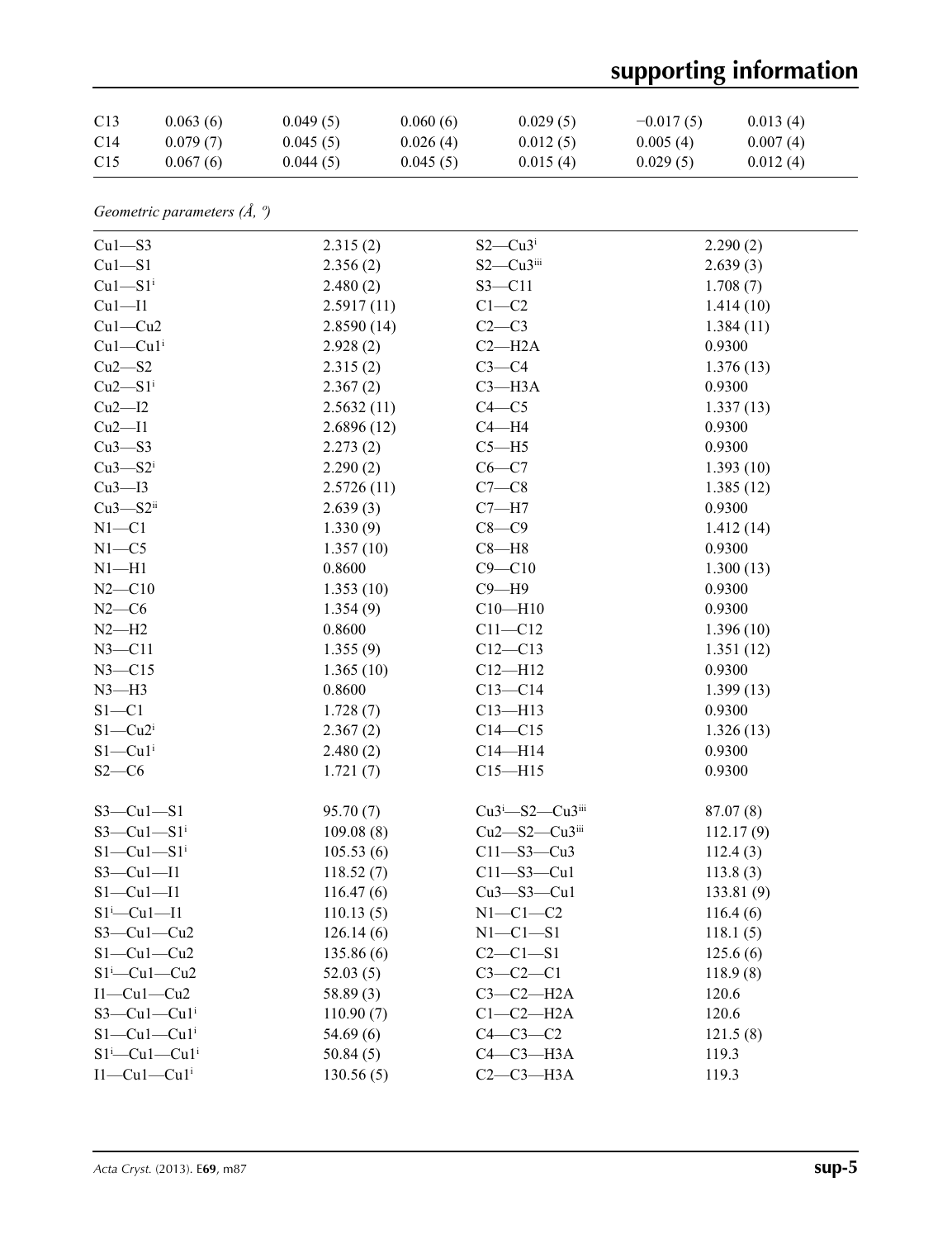## **supporting information**

| C13             | 0.063(6) | 0.049(5) | 0.060(6) | 0.029(5) | $-0.017(5)$ | 0.013(4) |
|-----------------|----------|----------|----------|----------|-------------|----------|
| C <sub>14</sub> | 0.079(7) | 0.045(5) | 0.026(4) | 0.012(5) | 0.005(4)    | 0.007(4) |
| C <sub>15</sub> | 0.067(6) | 0.044(5) | 0.045(5) | 0.015(4) | 0.029(5)    | 0.012(4) |

|  | Geometric parameters $(\AA, \theta)$ |  |  |
|--|--------------------------------------|--|--|
|--|--------------------------------------|--|--|

| $Cu1 - S3$                | 2.315(2)   | $S2-Cu3$ <sup>i</sup>    | 2.290(2)  |
|---------------------------|------------|--------------------------|-----------|
| $Cu1-S1$                  | 2.356(2)   | $S2-Cu3$ iii             | 2.639(3)  |
| $Cu1-S1$ <sup>i</sup>     | 2.480(2)   | $S3 - C11$               | 1.708(7)  |
| Cu1—I1                    | 2.5917(11) | $C1 - C2$                | 1.414(10) |
| $Cu1-Cu2$                 | 2.8590(14) | $C2-C3$                  | 1.384(11) |
| $Cu1-Cu1$ <sup>i</sup>    | 2.928(2)   | $C2 - H2A$               | 0.9300    |
| $Cu2-S2$                  | 2.315(2)   | $C3-C4$                  | 1.376(13) |
| $Cu2-S1i$                 | 2.367(2)   | $C3 - H3A$               | 0.9300    |
| Cu2—I2                    | 2.5632(11) | $C4 - C5$                | 1.337(13) |
| Cu2—I1                    | 2.6896(12) | $C4 - H4$                | 0.9300    |
| $Cu3-S3$                  | 2.273(2)   | $C5 - H5$                | 0.9300    |
| $Cu3 - S2$                | 2.290(2)   | $C6-C7$                  | 1.393(10) |
| Cu3—I3                    | 2.5726(11) | $C7-C8$                  | 1.385(12) |
| $Cu3 - S2ii$              | 2.639(3)   | $C7 - H7$                | 0.9300    |
| $N1 - C1$                 | 1.330(9)   | $C8-C9$                  | 1.412(14) |
| $N1 - C5$                 | 1.357(10)  | $C8 - H8$                | 0.9300    |
| $N1 - H1$                 | 0.8600     | $C9 - C10$               | 1.300(13) |
| $N2 - C10$                | 1.353(10)  | $C9 - H9$                | 0.9300    |
| $N2-C6$                   | 1.354(9)   | $C10 - H10$              | 0.9300    |
| $N2-H2$                   | 0.8600     | $C11 - C12$              | 1.396(10) |
| $N3 - C11$                | 1.355(9)   | $C12 - C13$              | 1.351(12) |
| $N3 - C15$                | 1.365(10)  | $C12 - H12$              | 0.9300    |
| $N3-H3$                   | 0.8600     | $C13 - C14$              | 1.399(13) |
| $S1 - C1$                 | 1.728(7)   | $C13 - H13$              | 0.9300    |
| $S1-Cu2$ <sup>i</sup>     | 2.367(2)   | $C14 - C15$              | 1.326(13) |
| $S1 - Cu1$ <sup>i</sup>   | 2.480(2)   | $C14 - H14$              | 0.9300    |
| $S2-C6$                   | 1.721(7)   | $C15 - H15$              | 0.9300    |
| $S3-Cu1-S1$               | 95.70(7)   | $Cu3^i$ -S2- $Cu3^{iii}$ | 87.07(8)  |
| $S3-Cu1-S1$ <sup>i</sup>  | 109.08(8)  | $Cu2 - S2 - Cu3$         | 112.17(9) |
| $S1-Cu1-S1$ <sup>i</sup>  | 105.53(6)  | $C11 - S3 - Cu3$         | 112.4(3)  |
| $S3-Cu1-I1$               | 118.52(7)  | $C11 - S3 - Cu1$         | 113.8(3)  |
| $S1-Cu1-I1$               | 116.47(6)  | $Cu3 - S3 - Cu1$         | 133.81(9) |
| $S1 - Cu1 - 11$           | 110.13(5)  | $N1-C1-C2$               | 116.4(6)  |
| $S3-Cu1-Cu2$              | 126.14(6)  | $N1-C1-S1$               | 118.1(5)  |
| $S1-Cu1-Cu2$              | 135.86(6)  | $C2 - C1 - S1$           | 125.6(6)  |
| $S1^i$ - Cu1 - Cu2        | 52.03(5)   | $C3-C2-C1$               | 118.9(8)  |
| $I1-Cu1-Cu2$              | 58.89(3)   | $C3-C2-H2A$              | 120.6     |
| $S3-Cu1-Cu1$ <sup>i</sup> | 110.90(7)  | $C1-C2-H2A$              | 120.6     |
| $S1-Cu1-Cu1$ <sup>i</sup> | 54.69(6)   | $C4-C3-C2$               | 121.5(8)  |
| $S1^i$ -Cu $1$ -Cu $1^i$  | 50.84(5)   | $C4-C3-H3A$              | 119.3     |
| $I1-Cu1-Cu1$ <sup>i</sup> | 130.56(5)  | $C2-C3-H3A$              | 119.3     |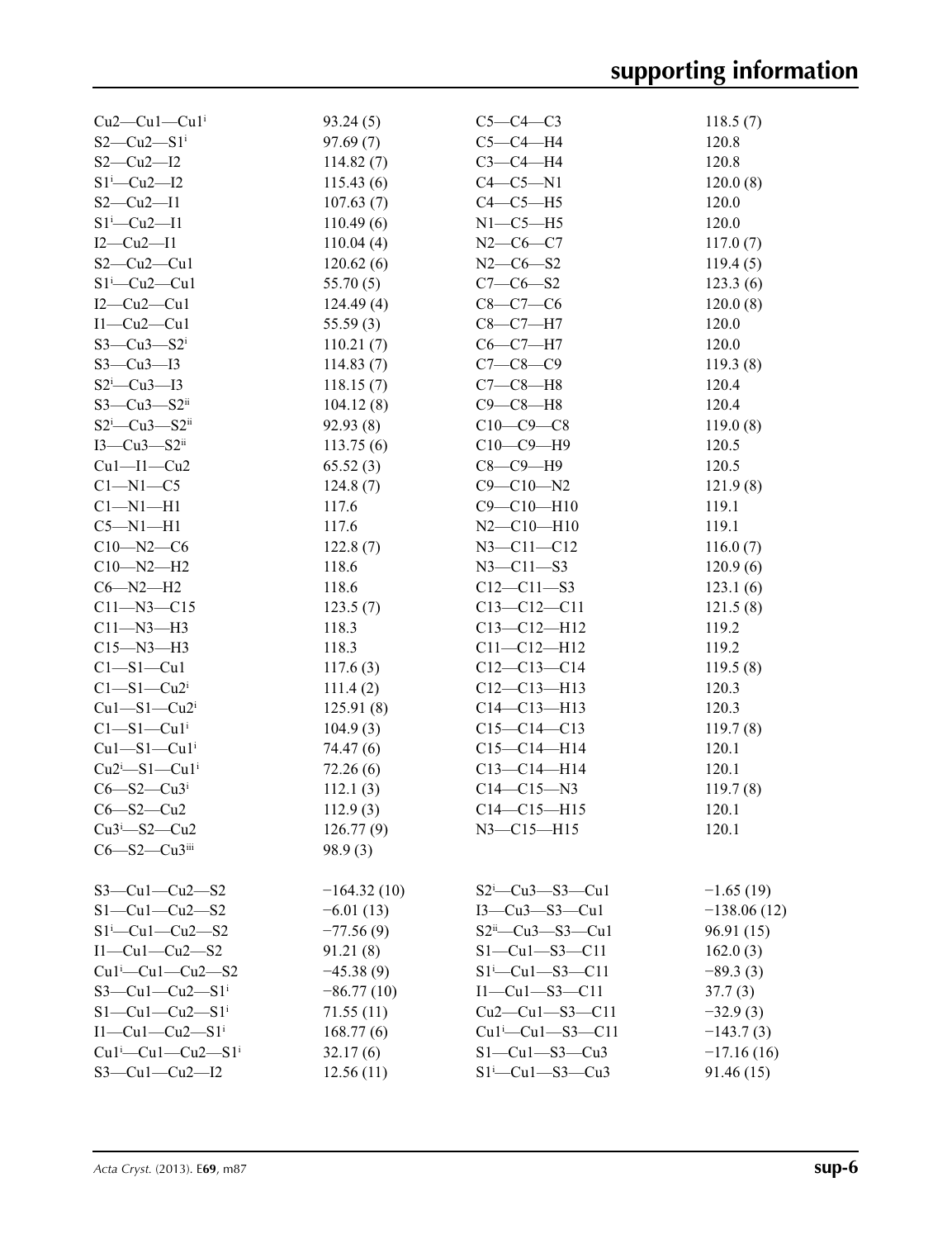| $Cu2$ — $Cu1$ — $Cu1$ <sup>i</sup> | 93.24(5)      | $C5-C4-C3$                                                    | 118.5(7)      |
|------------------------------------|---------------|---------------------------------------------------------------|---------------|
| $S2-Cu2-S1$ <sup>i</sup>           | 97.69(7)      | $C5-C4-H4$                                                    | 120.8         |
| $S2-Cu2-I2$                        | 114.82(7)     | $C3-C4-H4$                                                    | 120.8         |
| $S1$ <sup>i</sup> -Cu2-I2          | 115.43(6)     | $C4-C5-N1$                                                    | 120.0(8)      |
| $S2-Cu2-I1$                        | 107.63(7)     | $C4-C5-H5$                                                    | 120.0         |
| $S1^i$ -Cu2-I1                     | 110.49(6)     | $N1-C5-H5$                                                    | 120.0         |
| $I2-Cu2-I1$                        | 110.04(4)     | $N2-C6-C7$                                                    | 117.0(7)      |
| $S2-Cu2-Cu1$                       | 120.62(6)     | $N2-C6-S2$                                                    | 119.4(5)      |
| $S1 - Cu2 - Cu1$                   | 55.70(5)      | $C7 - C6 - S2$                                                | 123.3(6)      |
| $I2-Cu2-Cu1$                       | 124.49(4)     | $C8-C7-C6$                                                    | 120.0(8)      |
| $I1-Cu2-Cu1$                       | 55.59(3)      | $C8-C7-H7$                                                    | 120.0         |
| $S3-Cu3-S2$ <sup>i</sup>           | 110.21(7)     | $C6-C7-H7$                                                    | 120.0         |
| $S3-Cu3-I3$                        | 114.83(7)     | $C7 - C8 - C9$                                                | 119.3(8)      |
| $S2^i$ -Cu3-I3                     | 118.15(7)     | $C7-C8-H8$                                                    | 120.4         |
| $S3-Cu3-S2ii$                      | 104.12(8)     | $C9 - C8 - H8$                                                | 120.4         |
| $S2^i$ -Cu3- $S2^i$                | 92.93(8)      | $C10-C9-C8$                                                   | 119.0(8)      |
| $I3-Cu3-S2ii$                      | 113.75(6)     | $C10-C9-H9$                                                   | 120.5         |
| $Cu1 - I1 - Cu2$                   | 65.52(3)      | $C8 - C9 - H9$                                                | 120.5         |
| $C1 - N1 - C5$                     | 124.8(7)      | $C9 - C10 - N2$                                               | 121.9(8)      |
| $Cl-M1-H1$                         | 117.6         | $C9 - C10 - H10$                                              | 119.1         |
| $C5-M1-H1$                         | 117.6         | $N2 - C10 - H10$                                              | 119.1         |
| $C10 - N2 - C6$                    | 122.8(7)      | $N3 - C11 - C12$                                              | 116.0(7)      |
| $C10 - N2 - H2$                    | 118.6         | $N3 - C11 - S3$                                               | 120.9(6)      |
| $C6 - N2 - H2$                     | 118.6         | $C12 - C11 - S3$                                              | 123.1(6)      |
| $C11 - N3 - C15$                   | 123.5(7)      | $C13 - C12 - C11$                                             | 121.5(8)      |
| $C11 - N3 - H3$                    | 118.3         | $C13 - C12 - H12$                                             | 119.2         |
| $C15 - N3 - H3$                    | 118.3         | $C11 - C12 - H12$                                             | 119.2         |
| $C1 - S1 - Cu1$                    | 117.6(3)      | $C12-C13-C14$                                                 | 119.5(8)      |
| $C1 - S1 - Cu2$                    | 111.4(2)      | $C12 - C13 - H13$                                             | 120.3         |
| $Cu1-S1-Cu2$ <sup>i</sup>          | 125.91(8)     | $C14 - C13 - H13$                                             | 120.3         |
| $Cl - Sl - Cli$                    |               | $C15-C14-C13$                                                 | 119.7(8)      |
| $Cu1 - S1 - Cu1$                   | 104.9(3)      | $C15-C14-H14$                                                 | 120.1         |
| $Cu2^i-S1-Cu1^i$                   | 74.47 (6)     | $C13 - C14 - H14$                                             | 120.1         |
| $C6 - S2 - Cu3$                    | 72.26(6)      |                                                               |               |
|                                    | 112.1(3)      | $C14 - C15 - N3$                                              | 119.7(8)      |
| $C6 - S2 - Cu2$                    | 112.9(3)      | $C14 - C15 - H15$                                             | 120.1         |
| $Cu3^i$ -S2-Cu2                    | 126.77(9)     | $N3 - C15 - H15$                                              | 120.1         |
| $C6 - S2 - Cu3$ iii                | 98.9(3)       |                                                               |               |
| $S3-Cu1-Cu2-S2$                    | $-164.32(10)$ | $S2^i$ - Cu3 - S3 - Cu1                                       | $-1.65(19)$   |
| $S1-Cu1-Cu2-S2$                    | $-6.01(13)$   | $I3-Cu3-S3-Cu1$                                               | $-138.06(12)$ |
| $S1^i$ - Cu1 - Cu2 - S2            | $-77.56(9)$   | $S2ii$ -Cu3- $S3$ -Cu1                                        | 96.91(15)     |
| $I1-Cu1-Cu2-S2$                    | 91.21(8)      | $S1 - Cu1 - S3 - C11$                                         | 162.0(3)      |
| $Cu1^i$ -Cu1-Cu2-S2                | $-45.38(9)$   | $S1^{i}$ - Cu <sub>1</sub> - S <sub>3</sub> - C <sub>11</sub> | $-89.3(3)$    |
| $S3-Cu1-Cu2-S1$ <sup>i</sup>       | $-86.77(10)$  | $I1-Cu1-S3-C11$                                               | 37.7(3)       |
| $S1-Cu1-Cu2-S1$ <sup>i</sup>       | 71.55(11)     | $Cu2-Cu1-S3-C11$                                              | $-32.9(3)$    |
| $I1-Cu1-Cu2-S1$ <sup>i</sup>       | 168.77(6)     | $Cu1$ <sup>i</sup> $-Cu1$ <sup>-S3</sup> $-C11$               | $-143.7(3)$   |
| $Cu1^i$ — $Cu1$ — $Cu2$ — $S1^i$   |               | $S1-Cu1-S3-Cu3$                                               |               |
|                                    | 32.17(6)      | $S1^i$ -Cu1-S3-Cu3                                            | $-17.16(16)$  |
| $S3 - Cu1 - Cu2 - 12$              | 12.56(11)     |                                                               | 91.46(15)     |